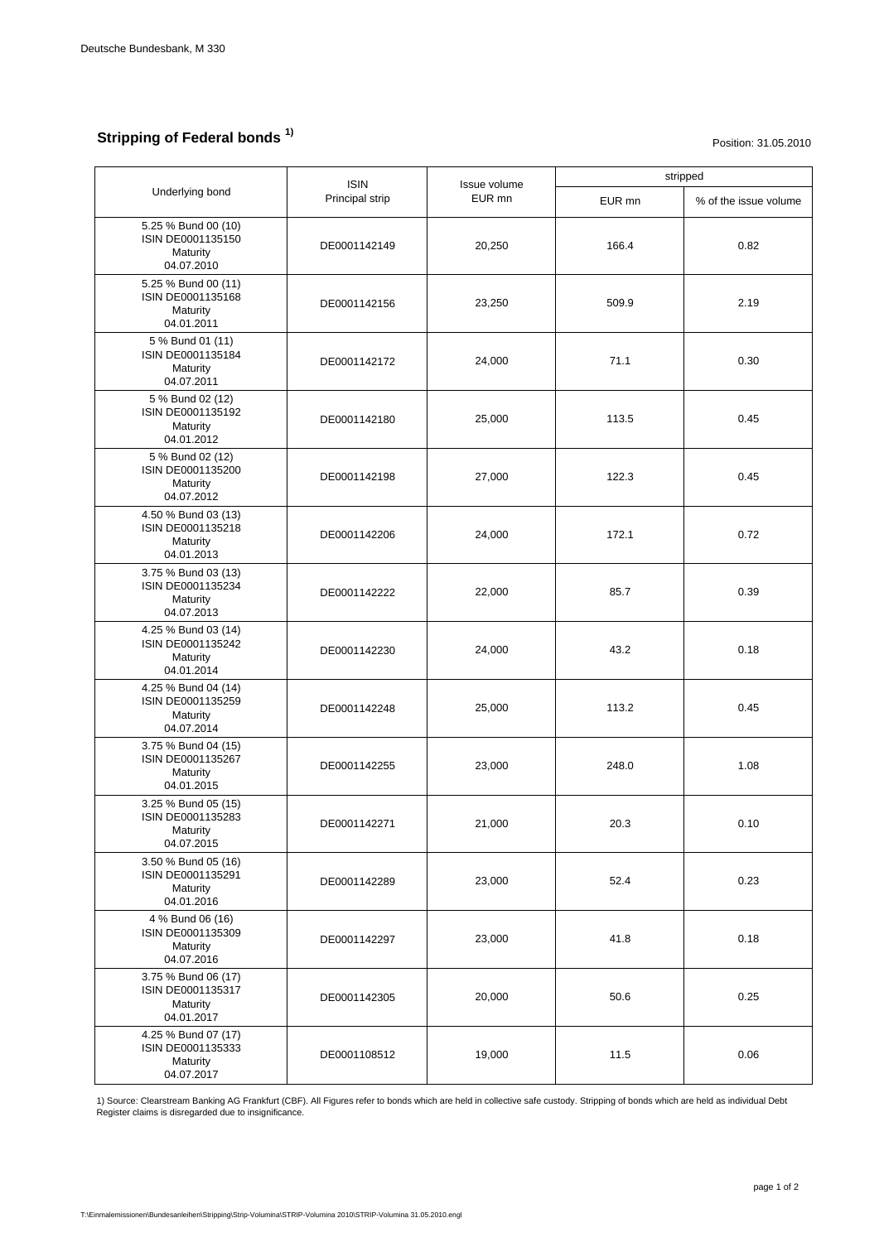## **Stripping of Federal bonds 1)**

Position: 31.05.2010

| Underlying bond                                                    | <b>ISIN</b><br>Principal strip | Issue volume<br>EUR mn | stripped |                       |
|--------------------------------------------------------------------|--------------------------------|------------------------|----------|-----------------------|
|                                                                    |                                |                        | EUR mn   | % of the issue volume |
| 5.25 % Bund 00 (10)<br>ISIN DE0001135150<br>Maturity<br>04.07.2010 | DE0001142149                   | 20,250                 | 166.4    | 0.82                  |
| 5.25 % Bund 00 (11)<br>ISIN DE0001135168<br>Maturity<br>04.01.2011 | DE0001142156                   | 23,250                 | 509.9    | 2.19                  |
| 5 % Bund 01 (11)<br>ISIN DE0001135184<br>Maturity<br>04.07.2011    | DE0001142172                   | 24,000                 | 71.1     | 0.30                  |
| 5 % Bund 02 (12)<br>ISIN DE0001135192<br>Maturity<br>04.01.2012    | DE0001142180                   | 25,000                 | 113.5    | 0.45                  |
| 5 % Bund 02 (12)<br>ISIN DE0001135200<br>Maturity<br>04.07.2012    | DE0001142198                   | 27,000                 | 122.3    | 0.45                  |
| 4.50 % Bund 03 (13)<br>ISIN DE0001135218<br>Maturity<br>04.01.2013 | DE0001142206                   | 24,000                 | 172.1    | 0.72                  |
| 3.75 % Bund 03 (13)<br>ISIN DE0001135234<br>Maturity<br>04.07.2013 | DE0001142222                   | 22,000                 | 85.7     | 0.39                  |
| 4.25 % Bund 03 (14)<br>ISIN DE0001135242<br>Maturity<br>04.01.2014 | DE0001142230                   | 24,000                 | 43.2     | 0.18                  |
| 4.25 % Bund 04 (14)<br>ISIN DE0001135259<br>Maturity<br>04.07.2014 | DE0001142248                   | 25,000                 | 113.2    | 0.45                  |
| 3.75 % Bund 04 (15)<br>ISIN DE0001135267<br>Maturity<br>04.01.2015 | DE0001142255                   | 23,000                 | 248.0    | 1.08                  |
| 3.25 % Bund 05 (15)<br>ISIN DE0001135283<br>Maturity<br>04.07.2015 | DE0001142271                   | 21,000                 | 20.3     | 0.10                  |
| 3.50 % Bund 05 (16)<br>ISIN DE0001135291<br>Maturity<br>04.01.2016 | DE0001142289                   | 23,000                 | 52.4     | 0.23                  |
| 4 % Bund 06 (16)<br>ISIN DE0001135309<br>Maturity<br>04.07.2016    | DE0001142297                   | 23,000                 | 41.8     | 0.18                  |
| 3.75 % Bund 06 (17)<br>ISIN DE0001135317<br>Maturity<br>04.01.2017 | DE0001142305                   | 20,000                 | 50.6     | 0.25                  |
| 4.25 % Bund 07 (17)<br>ISIN DE0001135333<br>Maturity<br>04.07.2017 | DE0001108512                   | 19,000                 | 11.5     | 0.06                  |

1) Source: Clearstream Banking AG Frankfurt (CBF). All Figures refer to bonds which are held in collective safe custody. Stripping of bonds which are held as individual Debt Register claims is disregarded due to insignificance.